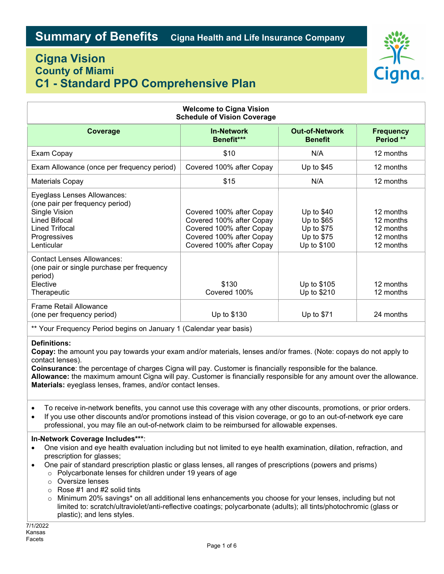## Cigna Vision County of Miami C1 - Standard PPO Comprehensive Plan



| <b>Welcome to Cigna Vision</b><br><b>Schedule of Vision Coverage</b>                                                                                    |                                                                                                                                          |                                                                      |                                                               |
|---------------------------------------------------------------------------------------------------------------------------------------------------------|------------------------------------------------------------------------------------------------------------------------------------------|----------------------------------------------------------------------|---------------------------------------------------------------|
| Coverage                                                                                                                                                | <b>In-Network</b><br>Benefit***                                                                                                          | <b>Out-of-Network</b><br><b>Benefit</b>                              | <b>Frequency</b><br>Period **                                 |
| Exam Copay                                                                                                                                              | \$10                                                                                                                                     | N/A                                                                  | 12 months                                                     |
| Exam Allowance (once per frequency period)                                                                                                              | Covered 100% after Copay                                                                                                                 | Up to $$45$                                                          | 12 months                                                     |
| <b>Materials Copay</b>                                                                                                                                  | \$15                                                                                                                                     | N/A                                                                  | 12 months                                                     |
| Eyeglass Lenses Allowances:<br>(one pair per frequency period)<br>Single Vision<br><b>Lined Bifocal</b><br>Lined Trifocal<br>Progressives<br>Lenticular | Covered 100% after Copay<br>Covered 100% after Copay<br>Covered 100% after Copay<br>Covered 100% after Copay<br>Covered 100% after Copay | Up to $$40$<br>Up to \$65<br>Up to \$75<br>Up to \$75<br>Up to \$100 | 12 months<br>12 months<br>12 months<br>12 months<br>12 months |
| <b>Contact Lenses Allowances:</b><br>(one pair or single purchase per frequency<br>period)<br>Elective<br>Therapeutic                                   | \$130<br>Covered 100%                                                                                                                    | Up to \$105<br>Up to \$210                                           | 12 months<br>12 months                                        |
| Frame Retail Allowance<br>(one per frequency period)                                                                                                    | Up to \$130                                                                                                                              | Up to \$71                                                           | 24 months                                                     |

\*\* Your Frequency Period begins on January 1 (Calendar year basis)

### Definitions:

Copay: the amount you pay towards your exam and/or materials, lenses and/or frames. (Note: copays do not apply to contact lenses).

Coinsurance: the percentage of charges Cigna will pay. Customer is financially responsible for the balance.

Allowance: the maximum amount Cigna will pay. Customer is financially responsible for any amount over the allowance. Materials: eyeglass lenses, frames, and/or contact lenses.

- To receive in-network benefits, you cannot use this coverage with any other discounts, promotions, or prior orders.
- If you use other discounts and/or promotions instead of this vision coverage, or go to an out-of-network eye care professional, you may file an out-of-network claim to be reimbursed for allowable expenses.

### In-Network Coverage Includes\*\*\*:

- One vision and eye health evaluation including but not limited to eye health examination, dilation, refraction, and prescription for glasses;
- One pair of standard prescription plastic or glass lenses, all ranges of prescriptions (powers and prisms)
	- o Polycarbonate lenses for children under 19 years of age
	- o Oversize lenses
	- o Rose #1 and #2 solid tints
	- o Minimum 20% savings\* on all additional lens enhancements you choose for your lenses, including but not limited to: scratch/ultraviolet/anti-reflective coatings; polycarbonate (adults); all tints/photochromic (glass or plastic); and lens styles.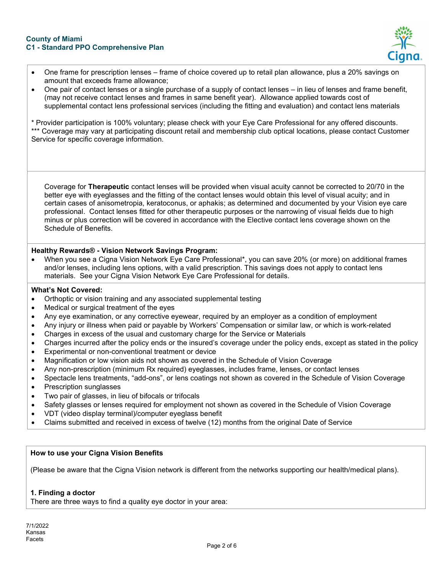

- One frame for prescription lenses frame of choice covered up to retail plan allowance, plus a 20% savings on amount that exceeds frame allowance;
- One pair of contact lenses or a single purchase of a supply of contact lenses in lieu of lenses and frame benefit, (may not receive contact lenses and frames in same benefit year). Allowance applied towards cost of supplemental contact lens professional services (including the fitting and evaluation) and contact lens materials

\* Provider participation is 100% voluntary; please check with your Eye Care Professional for any offered discounts. \*\*\* Coverage may vary at participating discount retail and membership club optical locations, please contact Customer Service for specific coverage information.

Coverage for Therapeutic contact lenses will be provided when visual acuity cannot be corrected to 20/70 in the better eye with eyeglasses and the fitting of the contact lenses would obtain this level of visual acuity; and in certain cases of anisometropia, keratoconus, or aphakis; as determined and documented by your Vision eye care professional. Contact lenses fitted for other therapeutic purposes or the narrowing of visual fields due to high minus or plus correction will be covered in accordance with the Elective contact lens coverage shown on the Schedule of Benefits.

## Healthy Rewards® - Vision Network Savings Program:

 When you see a Cigna Vision Network Eye Care Professional\*, you can save 20% (or more) on additional frames and/or lenses, including lens options, with a valid prescription. This savings does not apply to contact lens materials. See your Cigna Vision Network Eye Care Professional for details.

### What's Not Covered:

- Orthoptic or vision training and any associated supplemental testing
- Medical or surgical treatment of the eyes
- Any eye examination, or any corrective eyewear, required by an employer as a condition of employment
- Any injury or illness when paid or payable by Workers' Compensation or similar law, or which is work-related
- Charges in excess of the usual and customary charge for the Service or Materials
- Charges incurred after the policy ends or the insured's coverage under the policy ends, except as stated in the policy
- Experimental or non-conventional treatment or device
- Magnification or low vision aids not shown as covered in the Schedule of Vision Coverage
- Any non-prescription (minimum Rx required) eyeglasses, includes frame, lenses, or contact lenses
- Spectacle lens treatments, "add-ons", or lens coatings not shown as covered in the Schedule of Vision Coverage
- Prescription sunglasses
- Two pair of glasses, in lieu of bifocals or trifocals
- Safety glasses or lenses required for employment not shown as covered in the Schedule of Vision Coverage
- VDT (video display terminal)/computer eyeglass benefit
- Claims submitted and received in excess of twelve (12) months from the original Date of Service

## How to use your Cigna Vision Benefits

(Please be aware that the Cigna Vision network is different from the networks supporting our health/medical plans).

## 1. Finding a doctor

There are three ways to find a quality eye doctor in your area: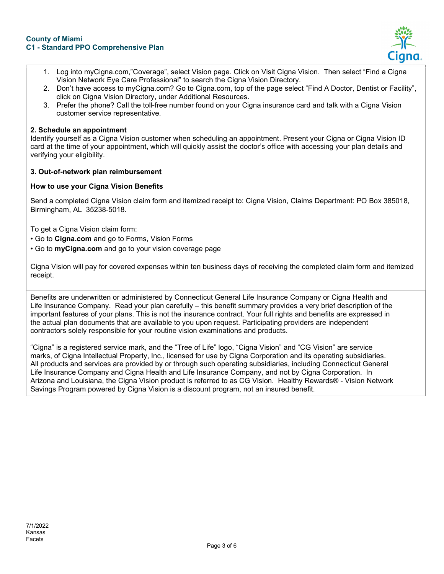#### County of Miami C1 - Standard PPO Comprehensive Plan



- 1. Log into myCigna.com,"Coverage", select Vision page. Click on Visit Cigna Vision. Then select "Find a Cigna Vision Network Eye Care Professional" to search the Cigna Vision Directory.
- 2. Don't have access to myCigna.com? Go to Cigna.com, top of the page select "Find A Doctor, Dentist or Facility", click on Cigna Vision Directory, under Additional Resources.
- 3. Prefer the phone? Call the toll-free number found on your Cigna insurance card and talk with a Cigna Vision customer service representative.

## 2. Schedule an appointment

Identify yourself as a Cigna Vision customer when scheduling an appointment. Present your Cigna or Cigna Vision ID card at the time of your appointment, which will quickly assist the doctor's office with accessing your plan details and verifying your eligibility.

## 3. Out-of-network plan reimbursement

## How to use your Cigna Vision Benefits

Send a completed Cigna Vision claim form and itemized receipt to: Cigna Vision, Claims Department: PO Box 385018, Birmingham, AL 35238-5018.

To get a Cigna Vision claim form:

- Go to Cigna.com and go to Forms, Vision Forms
- Go to myCigna.com and go to your vision coverage page

Cigna Vision will pay for covered expenses within ten business days of receiving the completed claim form and itemized receipt.

Benefits are underwritten or administered by Connecticut General Life Insurance Company or Cigna Health and Life Insurance Company. Read your plan carefully – this benefit summary provides a very brief description of the important features of your plans. This is not the insurance contract. Your full rights and benefits are expressed in the actual plan documents that are available to you upon request. Participating providers are independent contractors solely responsible for your routine vision examinations and products.

"Cigna" is a registered service mark, and the "Tree of Life" logo, "Cigna Vision" and "CG Vision" are service marks, of Cigna Intellectual Property, Inc., licensed for use by Cigna Corporation and its operating subsidiaries. All products and services are provided by or through such operating subsidiaries, including Connecticut General Life Insurance Company and Cigna Health and Life Insurance Company, and not by Cigna Corporation. In Arizona and Louisiana, the Cigna Vision product is referred to as CG Vision. Healthy Rewards® - Vision Network Savings Program powered by Cigna Vision is a discount program, not an insured benefit.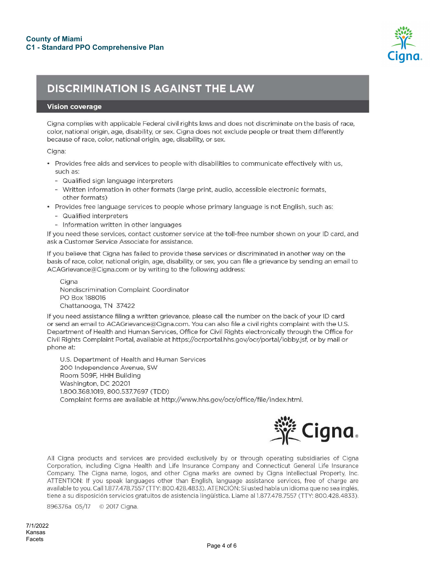

# **DISCRIMINATION IS AGAINST THE LAW**

#### **Vision coverage**

Cigna complies with applicable Federal civil rights laws and does not discriminate on the basis of race, color, national origin, age, disability, or sex. Cigna does not exclude people or treat them differently because of race, color, national origin, age, disability, or sex.

#### Cigna:

- · Provides free aids and services to people with disabilities to communicate effectively with us, such as:
	- Qualified sign language interpreters
	- Written information in other formats (large print, audio, accessible electronic formats, other formats)
- · Provides free language services to people whose primary language is not English, such as:
	- Qualified interpreters
	- Information written in other languages

If you need these services, contact customer service at the toll-free number shown on your ID card, and ask a Customer Service Associate for assistance.

If you believe that Cigna has failed to provide these services or discriminated in another way on the basis of race, color, national origin, age, disability, or sex, you can file a grievance by sending an email to ACAGrievance@Cigna.com or by writing to the following address:

Cigna Nondiscrimination Complaint Coordinator PO Box 188016 Chattanooga, TN 37422

If you need assistance filing a written grievance, please call the number on the back of your ID card or send an email to ACAGrievance@Cigna.com. You can also file a civil rights complaint with the U.S. Department of Health and Human Services, Office for Civil Rights electronically through the Office for Civil Rights Complaint Portal, available at https://ocrportal.hhs.gov/ocr/portal/lobby.jsf, or by mail or phone at:

U.S. Department of Health and Human Services 200 Independence Avenue, SW Room 509F, HHH Building Washington, DC 20201 1.800.368.1019, 800.537.7697 (TDD) Complaint forms are available at http://www.hhs.gov/ocr/office/file/index.html.



All Cigna products and services are provided exclusively by or through operating subsidiaries of Cigna Corporation, including Cigna Health and Life Insurance Company and Connecticut General Life Insurance Company. The Cigna name, logos, and other Cigna marks are owned by Cigna Intellectual Property, Inc. ATTENTION: If you speak languages other than English, language assistance services, free of charge are available to you. Call 1.877.478.7557 (TTY: 800.428.4833). ATENCIÓN: Si usted habla un idioma que no sea inglés, tiene a su disposición servicios gratuitos de asistencia lingüística. Llame al 1.877.478.7557 (TTY: 800.428.4833).

896376a 05/17 © 2017 Cigna.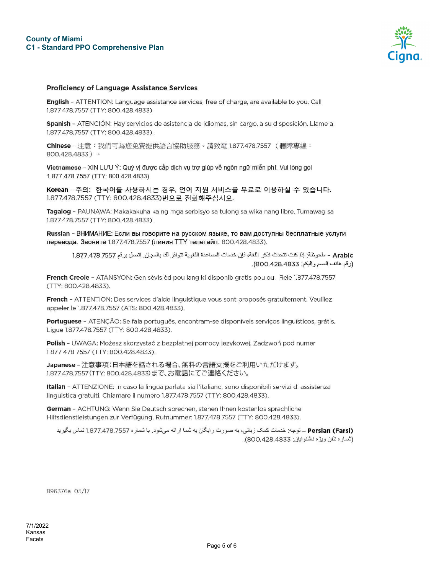

#### **Proficiency of Language Assistance Services**

English - ATTENTION: Language assistance services, free of charge, are available to you. Call 1.877.478.7557 (TTY: 800.428.4833).

Spanish - ATENCIÓN: Hay servicios de asistencia de idiomas, sin cargo, a su disposición. Llame al 1.877.478.7557 (TTY: 800.428.4833).

Chinese - 注意:我們可為您免費提供語言協助服務。請致電 1.877.478.7557 (聽障專線: 800.428.4833) 。

Vietnamese - XIN LƯU Ý: Quý vị được cấp dịch vụ trợ giúp về ngôn ngữ miễn phí. Vui lòng gọi 1.877.478.7557 (TTY: 800.428.4833).

Korean – 주의: 한국어를 사용하시는 경우, 언어 지원 서비스를 무료로 이용하실 수 있습니다. 1.877.478.7557 (TTY: 800.428.4833)번으로 전화해주십시오.

Tagalog - PAUNAWA: Makakakuha ka ng mga serbisyo sa tulong sa wika nang libre. Tumawag sa 1.877.478.7557 (TTY: 800.428.4833).

Russian - ВНИМАНИЕ: Если вы говорите на русском языке, то вам доступны бесплатные услуги перевода. Звоните 1.877.478.7557 (линия ТТҮ телетайп: 800.428.4833).

Arabic - ملحوظة: إذا كنت تتحدث اذكر اللغة، فإن خدمات المساعدة اللغوية تتوافر لك بالمجان. اتصل برقم 1.877.478.7557 (رقم هاتف الصم والبكم: 800.428.4833).

French Creole - ATANSYON: Gen sèvis èd pou lang ki disponib gratis pou ou. Rele 1.877.478.7557 (TTY: 800.428.4833).

French - ATTENTION: Des services d'aide linguistique vous sont proposés gratuitement. Veuillez appeler le 1.877.478.7557 (ATS: 800.428.4833).

Portuguese - ATENÇÃO: Se fala português, encontram-se disponíveis serviços linguísticos, grátis. Ligue 1.877.478.7557 (TTY: 800.428.4833).

Polish - UWAGA: Możesz skorzystać z bezpłatnej pomocy językowej. Zadzwoń pod numer 1877 478 7557 (TTY: 800.428.4833).

Japanese - 注意事項:日本語を話される場合、無料の言語支援をご利用いただけます。 1.877.478.7557 (TTY: 800.428.4833) まで、お電話にてご連絡ください。

Italian - ATTENZIONE: In caso la lingua parlata sia l'italiano, sono disponibili servizi di assistenza linguistica gratuiti. Chiamare il numero 1.877.478.7557 (TTY: 800.428.4833).

German - ACHTUNG: Wenn Sie Deutsch sprechen, stehen Ihnen kostenlos sprachliche Hilfsdienstleistungen zur Verfügung. Rufnummer: 1.877.478.7557 (TTY: 800.428.4833).

Persian (Farsi) ــ توجه: خدمات كمك زباني، به صورت رايگان به شما ارائه ميشود. با شماره 1.877.478.7557 تماس بگيريد (شماره تلفن ويژه ناشنوايان: 800.428.4833).

896376a 05/17